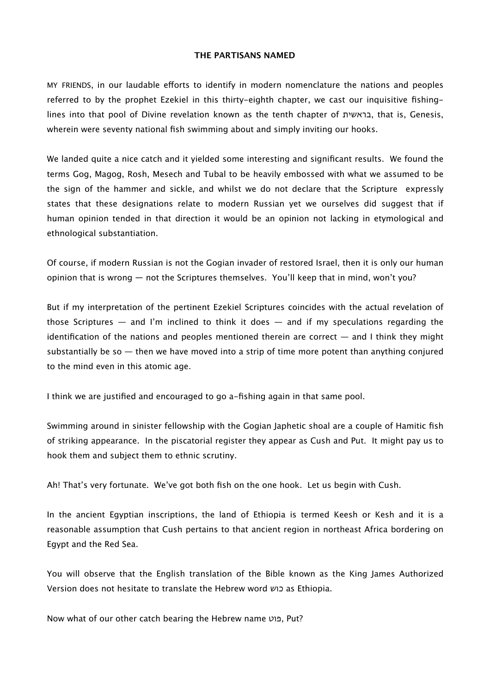## **THE PARTISANS NAMED**

MY FRIENDS, in our laudable efforts to identify in modern nomenclature the nations and peoples referred to by the prophet Ezekiel in this thirty-eighth chapter, we cast our inquisitive fishinglines into that pool of Divine revelation known as the tenth chapter of בראשית, that is, Genesis, wherein were seventy national fish swimming about and simply inviting our hooks.

We landed quite a nice catch and it yielded some interesting and significant results. We found the terms Gog, Magog, Rosh, Mesech and Tubal to be heavily embossed with what we assumed to be the sign of the hammer and sickle, and whilst we do not declare that the Scripture expressly states that these designations relate to modern Russian yet we ourselves did suggest that if human opinion tended in that direction it would be an opinion not lacking in etymological and ethnological substantiation.

Of course, if modern Russian is not the Gogian invader of restored Israel, then it is only our human opinion that is wrong — not the Scriptures themselves. You'll keep that in mind, won't you?

But if my interpretation of the pertinent Ezekiel Scriptures coincides with the actual revelation of those Scriptures  $-$  and I'm inclined to think it does  $-$  and if my speculations regarding the identification of the nations and peoples mentioned therein are correct  $-$  and I think they might substantially be so  $-$  then we have moved into a strip of time more potent than anything conjured to the mind even in this atomic age.

I think we are justified and encouraged to go a-fishing again in that same pool.

Swimming around in sinister fellowship with the Gogian Japhetic shoal are a couple of Hamitic fish of striking appearance. In the piscatorial register they appear as Cush and Put. It might pay us to hook them and subject them to ethnic scrutiny.

Ah! That's very fortunate. We've got both fish on the one hook. Let us begin with Cush.

In the ancient Egyptian inscriptions, the land of Ethiopia is termed Keesh or Kesh and it is a reasonable assumption that Cush pertains to that ancient region in northeast Africa bordering on Egypt and the Red Sea.

You will observe that the English translation of the Bible known as the King James Authorized Version does not hesitate to translate the Hebrew word כוש as Ethiopia.

Now what of our other catch bearing the Hebrew name פוט, Put?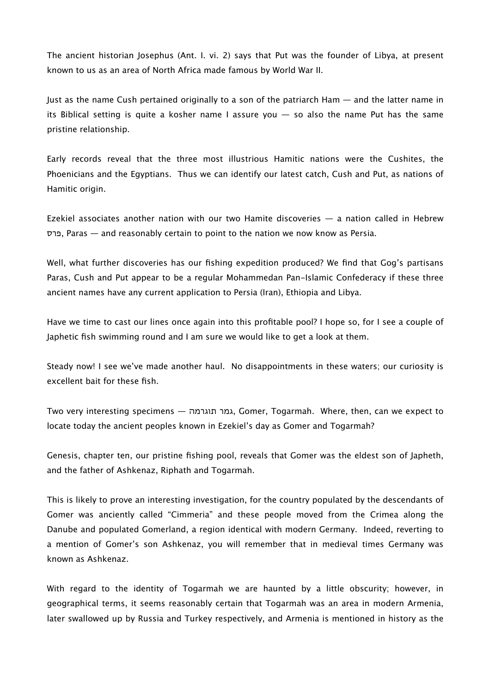The ancient historian Josephus (Ant. I. vi. 2) says that Put was the founder of Libya, at present known to us as an area of North Africa made famous by World War II.

Just as the name Cush pertained originally to a son of the patriarch Ham — and the latter name in its Biblical setting is quite a kosher name I assure you — so also the name Put has the same pristine relationship.

Early records reveal that the three most illustrious Hamitic nations were the Cushites, the Phoenicians and the Egyptians. Thus we can identify our latest catch, Cush and Put, as nations of Hamitic origin.

Ezekiel associates another nation with our two Hamite discoveries — a nation called in Hebrew פרס, Paras — and reasonably certain to point to the nation we now know as Persia.

Well, what further discoveries has our fishing expedition produced? We find that Gog's partisans Paras, Cush and Put appear to be a regular Mohammedan Pan-Islamic Confederacy if these three ancient names have any current application to Persia (Iran), Ethiopia and Libya.

Have we time to cast our lines once again into this profitable pool? I hope so, for I see a couple of Japhetic fish swimming round and I am sure we would like to get a look at them.

Steady now! I see we've made another haul. No disappointments in these waters; our curiosity is excellent bait for these fish.

Two very interesting specimens — תוגרמה גמר, Gomer, Togarmah. Where, then, can we expect to locate today the ancient peoples known in Ezekiel's day as Gomer and Togarmah?

Genesis, chapter ten, our pristine fishing pool, reveals that Gomer was the eldest son of Japheth, and the father of Ashkenaz, Riphath and Togarmah.

This is likely to prove an interesting investigation, for the country populated by the descendants of Gomer was anciently called "Cimmeria" and these people moved from the Crimea along the Danube and populated Gomerland, a region identical with modern Germany. Indeed, reverting to a mention of Gomer's son Ashkenaz, you will remember that in medieval times Germany was known as Ashkenaz.

With regard to the identity of Togarmah we are haunted by a little obscurity; however, in geographical terms, it seems reasonably certain that Togarmah was an area in modern Armenia, later swallowed up by Russia and Turkey respectively, and Armenia is mentioned in history as the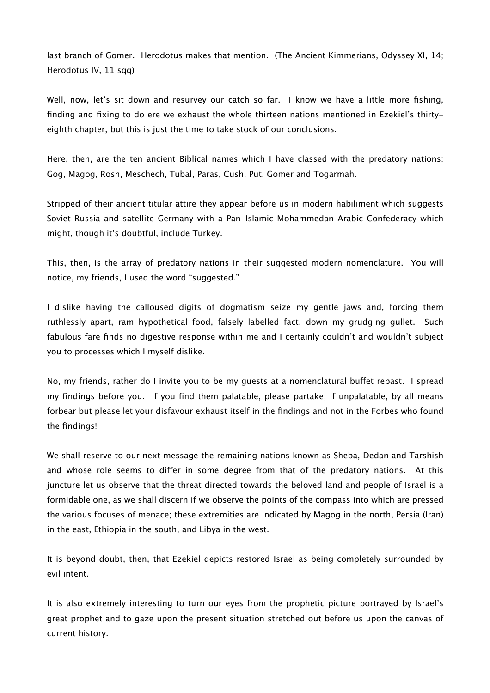last branch of Gomer. Herodotus makes that mention. (The Ancient Kimmerians, Odyssey XI, 14; Herodotus IV, 11 sqq)

Well, now, let's sit down and resurvey our catch so far. I know we have a little more fishing, finding and fixing to do ere we exhaust the whole thirteen nations mentioned in Ezekiel's thirtyeighth chapter, but this is just the time to take stock of our conclusions.

Here, then, are the ten ancient Biblical names which I have classed with the predatory nations: Gog, Magog, Rosh, Meschech, Tubal, Paras, Cush, Put, Gomer and Togarmah.

Stripped of their ancient titular attire they appear before us in modern habiliment which suggests Soviet Russia and satellite Germany with a Pan-Islamic Mohammedan Arabic Confederacy which might, though it's doubtful, include Turkey.

This, then, is the array of predatory nations in their suggested modern nomenclature. You will notice, my friends, I used the word "suggested."

I dislike having the calloused digits of dogmatism seize my gentle jaws and, forcing them ruthlessly apart, ram hypothetical food, falsely labelled fact, down my grudging gullet. Such fabulous fare finds no digestive response within me and I certainly couldn't and wouldn't subject you to processes which I myself dislike.

No, my friends, rather do I invite you to be my guests at a nomenclatural bufet repast. I spread my findings before you. If you find them palatable, please partake; if unpalatable, by all means forbear but please let your disfavour exhaust itself in the findings and not in the Forbes who found the findings!

We shall reserve to our next message the remaining nations known as Sheba, Dedan and Tarshish and whose role seems to difer in some degree from that of the predatory nations. At this juncture let us observe that the threat directed towards the beloved land and people of Israel is a formidable one, as we shall discern if we observe the points of the compass into which are pressed the various focuses of menace; these extremities are indicated by Magog in the north, Persia (Iran) in the east, Ethiopia in the south, and Libya in the west.

It is beyond doubt, then, that Ezekiel depicts restored Israel as being completely surrounded by evil intent.

It is also extremely interesting to turn our eyes from the prophetic picture portrayed by Israel's great prophet and to gaze upon the present situation stretched out before us upon the canvas of current history.